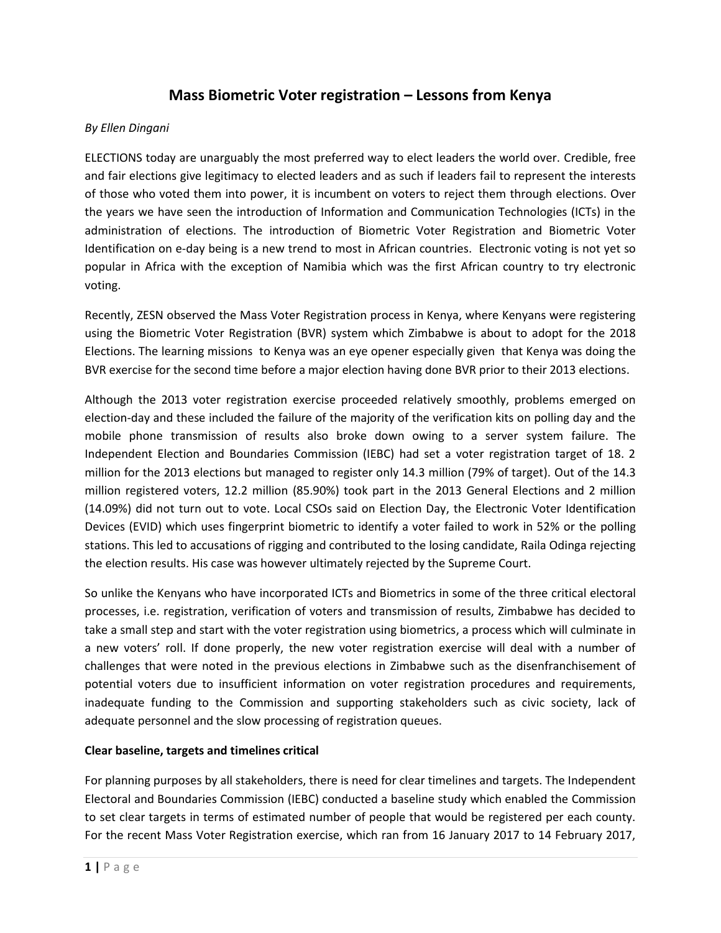# **Mass Biometric Voter registration – Lessons from Kenya**

## *By Ellen Dingani*

ELECTIONS today are unarguably the most preferred way to elect leaders the world over. Credible, free and fair elections give legitimacy to elected leaders and as such if leaders fail to represent the interests of those who voted them into power, it is incumbent on voters to reject them through elections. Over the years we have seen the introduction of Information and Communication Technologies (ICTs) in the administration of elections. The introduction of Biometric Voter Registration and Biometric Voter Identification on e-day being is a new trend to most in African countries. Electronic voting is not yet so popular in Africa with the exception of Namibia which was the first African country to try electronic voting.

Recently, ZESN observed the Mass Voter Registration process in Kenya, where Kenyans were registering using the Biometric Voter Registration (BVR) system which Zimbabwe is about to adopt for the 2018 Elections. The learning missions to Kenya was an eye opener especially given that Kenya was doing the BVR exercise for the second time before a major election having done BVR prior to their 2013 elections.

Although the 2013 voter registration exercise proceeded relatively smoothly, problems emerged on election-day and these included the failure of the majority of the verification kits on polling day and the mobile phone transmission of results also broke down owing to a server system failure. The Independent Election and Boundaries Commission (IEBC) had set a voter registration target of 18. 2 million for the 2013 elections but managed to register only 14.3 million (79% of target). Out of the 14.3 million registered voters, 12.2 million (85.90%) took part in the 2013 General Elections and 2 million (14.09%) did not turn out to vote. Local CSOs said on Election Day, the Electronic Voter Identification Devices (EVID) which uses fingerprint biometric to identify a voter failed to work in 52% or the polling stations. This led to accusations of rigging and contributed to the losing candidate, Raila Odinga rejecting the election results. His case was however ultimately rejected by the Supreme Court.

So unlike the Kenyans who have incorporated ICTs and Biometrics in some of the three critical electoral processes, i.e. registration, verification of voters and transmission of results, Zimbabwe has decided to take a small step and start with the voter registration using biometrics, a process which will culminate in a new voters' roll. If done properly, the new voter registration exercise will deal with a number of challenges that were noted in the previous elections in Zimbabwe such as the disenfranchisement of potential voters due to insufficient information on voter registration procedures and requirements, inadequate funding to the Commission and supporting stakeholders such as civic society, lack of adequate personnel and the slow processing of registration queues.

#### **Clear baseline, targets and timelines critical**

For planning purposes by all stakeholders, there is need for clear timelines and targets. The Independent Electoral and Boundaries Commission (IEBC) conducted a baseline study which enabled the Commission to set clear targets in terms of estimated number of people that would be registered per each county. For the recent Mass Voter Registration exercise, which ran from 16 January 2017 to 14 February 2017,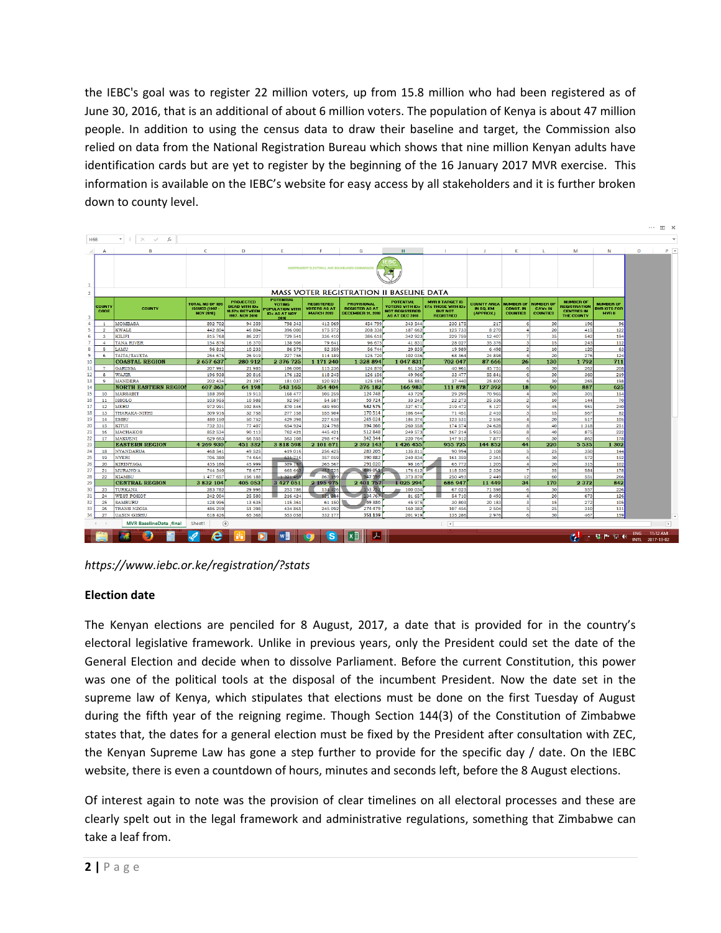the IEBC's goal was to register 22 million voters, up from 15.8 million who had been registered as of June 30, 2016, that is an additional of about 6 million voters. The population of Kenya is about 47 million people. In addition to using the census data to draw their baseline and target, the Commission also relied on data from the National Registration Bureau which shows that nine million Kenyan adults have identification cards but are yet to register by the beginning of the 16 January 2017 MVR exercise. This information is available on the IEBC's website for easy access by all stakeholders and it is further broken down to county level.

|                         |                       |                                                 |                                                                     |                                                                             |                                                                                             |                                                               |                                                                  |                                                                                       |                                                                                            |                                              |                                                         |                                                       |                                                                            |                                                          |            | $\cdots$ $\mathbb{E}$ $\times$ |                |
|-------------------------|-----------------------|-------------------------------------------------|---------------------------------------------------------------------|-----------------------------------------------------------------------------|---------------------------------------------------------------------------------------------|---------------------------------------------------------------|------------------------------------------------------------------|---------------------------------------------------------------------------------------|--------------------------------------------------------------------------------------------|----------------------------------------------|---------------------------------------------------------|-------------------------------------------------------|----------------------------------------------------------------------------|----------------------------------------------------------|------------|--------------------------------|----------------|
|                         | <b>H68</b>            | $\times$ $\checkmark$<br>$f_{\rm x}$            |                                                                     |                                                                             |                                                                                             |                                                               |                                                                  |                                                                                       |                                                                                            |                                              |                                                         |                                                       |                                                                            |                                                          |            |                                | $\sim$         |
| $\sim$                  | $\mathsf{A}$          | B                                               | C.                                                                  | D                                                                           | F                                                                                           |                                                               | G                                                                | H                                                                                     |                                                                                            | -1                                           | к                                                       | L.                                                    | M                                                                          | N                                                        | $\circ$    |                                | $P$ $A$        |
| $\mathbf{1}$            |                       |                                                 |                                                                     |                                                                             | INDEPENDENT ELECTORAL AND BOUNDARIES COMMISSION                                             |                                                               |                                                                  | EB (<br>X                                                                             |                                                                                            |                                              |                                                         |                                                       |                                                                            |                                                          |            |                                |                |
| $\overline{2}$          |                       | <b>MASS VOTER REGISTRATION II BASELINE DATA</b> |                                                                     |                                                                             |                                                                                             |                                                               |                                                                  |                                                                                       |                                                                                            |                                              |                                                         |                                                       |                                                                            |                                                          |            |                                |                |
| $\overline{\mathbf{3}}$ | <b>COUNTY</b><br>CODE | COUNTY                                          | <b>TOTAL NO OF IDS</b><br><b>ISSUED (1997 -</b><br><b>NOV 2016)</b> | <b>PROJECTED</b><br><b>DEAD VITH IDs</b><br>10.57% BETVEEN<br>1997-NOV 2016 | <b>POTENTIAL</b><br><b>VOTING</b><br><b>POPULATION VITH</b><br><b>IDs AS AT NOV</b><br>2016 | <b>REGISTERED</b><br><b>VOTERS AS AT</b><br><b>MARCH 2013</b> | <b>PROVISIONAL</b><br><b>BEGISTER AS AT</b><br>DECEMBER 31, 2016 | <b>POTENTIAL</b><br><b>VOTERS VITH IDs</b><br><b>NOT REGISTERED</b><br>AS AT DEC 2016 | <b>MVB II TABGET IS</b><br><b>67% THOSE WITH IDs</b><br><b>BUT NOT</b><br><b>REGISTRED</b> | <b>COUNTY AREA</b><br>IN SO. KM<br>(APPROX.) | <b>NUMBER OF</b><br><b>CONST. IN</b><br><b>COUNTIES</b> | <b>NUMBER OF</b><br><b>CAVs IN</b><br><b>COUNTIES</b> | <b>NUMBER OF</b><br><b>REGISTRATION</b><br><b>CENTRES IN</b><br>THE COUNTY | <b>NUMBER OF</b><br><b>BVB KITS FOR</b><br><b>MYR II</b> |            |                                |                |
| $\overline{4}$          | $\blacksquare$        | <b>MOMBASA</b>                                  | 892 702                                                             | 94 35 9                                                                     | 798 343                                                                                     | 413 069                                                       | 454 799                                                          | 343 544                                                                               | 230 175                                                                                    | 217                                          |                                                         | 30                                                    | 196                                                                        | 96                                                       |            |                                |                |
| -5                      | $\overline{2}$        | <b>KWALE</b>                                    | 442 804                                                             | 46 804                                                                      | 396 000                                                                                     | 175 572                                                       | 208 338                                                          | 187 662                                                                               | 125 733                                                                                    | 8 270                                        |                                                         | 20                                                    | 415                                                                        | 122                                                      |            |                                |                |
| -6                      | $\mathbf{3}$          | KILIFI                                          | 815 768                                                             | 86 227                                                                      | 729 541                                                                                     | 336 410                                                       | 386 618                                                          | 342 923                                                                               | 229 759                                                                                    | 12 407                                       |                                                         | 35                                                    | 542                                                                        | 194                                                      |            |                                |                |
| 7                       | $\mathbf{4}$<br>5.    | TANA RIVER<br>LAMU                              | 154 876                                                             | 16 370                                                                      | 138 506                                                                                     | 79 641                                                        | 96 675                                                           | 41831                                                                                 | 28 027                                                                                     | 35 376                                       | з<br>۰                                                  | 15<br>10 <sup>10</sup>                                | 243                                                                        | 112                                                      |            |                                |                |
| 8<br>9                  | 6                     | TAITA/TAVETA                                    | 96 812<br>254 675                                                   | 10 233<br>26 919                                                            | 86 579<br>227 756                                                                           | 52 359<br>114 189                                             | 56 744<br>125 720                                                | 29 835<br>102 036                                                                     | 19 989<br>68 3 64                                                                          | 6 4 9 8<br>24 898                            |                                                         | 20                                                    | 120<br>276                                                                 | -63<br>124                                               |            |                                |                |
| 10                      |                       | <b>COASTAL REGION</b>                           | 2 657 637                                                           | 280 912                                                                     | 2 376 725                                                                                   | 1 171 240                                                     | 1 328 894                                                        | 1 047 831                                                                             | 702 047                                                                                    | 87 666                                       | 26                                                      | 130                                                   | 1792                                                                       | 711                                                      |            |                                |                |
| 11                      | $\mathcal{L}$         | <b>GARISSA</b>                                  | 207 991                                                             | 21985                                                                       | 186 006                                                                                     | 115 236                                                       | 124 870                                                          | 61 136                                                                                | 40 961                                                                                     | 45 751                                       | 6                                                       | 30 <sup>1</sup>                                       | 262                                                                        | 208                                                      |            |                                |                |
| 12                      | 8                     | <b>WAJIR</b>                                    | 196 938                                                             | 20 816                                                                      | 176 122                                                                                     | 118 245                                                       | 126 156                                                          | 49 966                                                                                | 33 477                                                                                     | 55 841                                       | 6                                                       | 30                                                    | 360                                                                        | 219                                                      |            |                                |                |
| 13                      | $\bullet$             | <b>MANDERA</b>                                  | 202 434                                                             | 21 397                                                                      | 181 037                                                                                     | 120 923                                                       | 125 156                                                          | 55 881                                                                                | 37,440                                                                                     | 25 800                                       | ĥ.                                                      | 30                                                    | 265                                                                        | 198                                                      |            |                                |                |
| 14                      |                       | <b>NORTH EASTERN REGIOI</b>                     | 607 363                                                             | 64 198                                                                      | 543 165                                                                                     | 354 404                                                       | 376 182                                                          | 166 983                                                                               | 111 878                                                                                    | 127 392                                      | 18                                                      | 90                                                    | 887                                                                        | 625                                                      |            |                                |                |
| 15                      | 10                    | <b>MARSABIT</b>                                 | 188 390                                                             | 19 913                                                                      | 168 477                                                                                     | 105 259                                                       | 124 748                                                          | 43 729                                                                                | 29 29 9                                                                                    | 70 965                                       | $\boldsymbol{\Lambda}$                                  | 20                                                    | 301                                                                        | 154                                                      |            |                                |                |
| 16                      | 11                    | <b>ISIOLO</b>                                   | 103 955                                                             | 10 988                                                                      | 92 967                                                                                      | 54 587                                                        | 59724                                                            | 33 243                                                                                | 22 273                                                                                     | 25 336                                       | $\cdot$                                                 | 10                                                    | 144                                                                        | 70                                                       |            |                                |                |
| 17                      | 12                    | MERU                                            | 972 991                                                             | 102 845                                                                     | 870 146                                                                                     | 489 590                                                       | 542 575                                                          | 327 571                                                                               | 219 472                                                                                    | 5 1 2 7                                      | $\bullet$                                               | 45                                                    | 951                                                                        | 240                                                      |            |                                |                |
| 18                      | 13                    | THARAKA-NITHI                                   | 309 916                                                             | 32 758                                                                      | 277 158                                                                                     | 155 904                                                       | 170 514                                                          | 106 644                                                                               | 71 451                                                                                     | 2410                                         | a                                                       | 15                                                    | 567                                                                        | 82                                                       |            |                                |                |
| 19                      | 14                    | <b>EMBU</b>                                     | 480 150                                                             | 50 752                                                                      | 429 398                                                                                     | 227 638                                                       | 245 024                                                          | 184 374                                                                               | 123 531                                                                                    | 2 5 5 6                                      |                                                         | 20                                                    | 517                                                                        | 105                                                      |            |                                |                |
| 20                      | 15                    | KITUI                                           | 732 331                                                             | 77 407                                                                      | 654 924                                                                                     | 324 798                                                       | 394 366                                                          | 260 558                                                                               | 174 574                                                                                    | 24 628                                       | R                                                       | 40                                                    | 1 3 1 8                                                                    | 251                                                      |            |                                |                |
| 21                      | 16                    | <b>MACHAKOS</b>                                 | 852 534                                                             | 90 113                                                                      | 762 421                                                                                     | 445 42:                                                       | 512848                                                           | 249 573                                                                               | 167 214                                                                                    | 5953                                         | R                                                       | 40                                                    | 875                                                                        | 222                                                      |            |                                |                |
| 22                      | 17                    | MAKUENI                                         | 629 663                                                             | 66 555                                                                      | 563 108                                                                                     | 298 474                                                       | 342 344                                                          | 220 764                                                                               | 147 912                                                                                    | 7877                                         | -61                                                     | 30<br>220                                             | 862                                                                        | 178                                                      |            |                                |                |
| 23                      |                       | <b>EASTERN REGION</b>                           | 4 269 930                                                           | 451 332                                                                     | 3818598                                                                                     | 2 101 671                                                     | 2 392 143                                                        | 1 426 455                                                                             | 955 725                                                                                    | 144 852                                      | 44<br>5                                                 |                                                       | 5 5 3 5                                                                    | 1 302                                                    |            |                                |                |
| 24<br>25                | 18<br>19              | <b>NYANDARUA</b><br><b>NYERI</b>                | 468 541<br>706 380                                                  | 49 525<br>74 664                                                            | 419 016<br>631 716                                                                          | 256 425<br>357 059                                            | 283 205<br>390 882                                               | 135 811<br>240 834                                                                    | 90 994<br>161 359                                                                          | 3 10 8<br>2 3 6 1                            | 6                                                       | 25<br>30                                              | 350<br>572                                                                 | 144<br>152                                               |            |                                |                |
| 26                      | 20                    | <b>KIRINYAGA</b>                                | 435 186                                                             | 45 999                                                                      | 389 18                                                                                      | 265 567                                                       | 291 020                                                          | 98 167                                                                                | 65 772                                                                                     | 1 205                                        | Δ                                                       | 20                                                    | 315                                                                        | 102                                                      |            |                                |                |
| 27                      | 21                    | <b>MURANG'A</b>                                 | 744 340                                                             | 78 677                                                                      | 665 66                                                                                      | 453 725                                                       | 489 051                                                          | 176 612                                                                               | 118 330                                                                                    | 2 3 2 6                                      | $\mathcal{L}$                                           | 35                                                    | 584                                                                        | 178                                                      |            |                                |                |
| 28                      | 22                    | <b>KIAMBU</b>                                   | 1 477 657                                                           | 156 188                                                                     | 1 3 2 1 4 6 9                                                                               | 863 199                                                       | 947599                                                           | 373 870                                                                               | 250 493                                                                                    | 2 4 4 9                                      | 12                                                      | 60                                                    | 551                                                                        | 266                                                      |            |                                |                |
| 29                      |                       | <b>CENTRAL REGION</b>                           | 3 832 104                                                           | 405 053                                                                     | 3 4 2 7 0 5 1                                                                               | 2 195 975                                                     | 2 401 757                                                        | 1 0 25 294                                                                            | 686 947                                                                                    | 11 449                                       | 34                                                      | 170                                                   | 2372                                                                       | 842                                                      |            |                                |                |
| 30                      | 23                    | <b>TURKANA</b>                                  | 283 782                                                             | 29 996                                                                      | 253 786                                                                                     | 134 426                                                       | 153 752                                                          | 100 034                                                                               | 67 023                                                                                     | 71 598                                       | 6                                                       | 30                                                    | 557                                                                        | 226                                                      |            |                                |                |
| 31                      | 24                    | <b>WEST POKOT</b>                               | 242 004                                                             | 25 580                                                                      | 216 424                                                                                     | 121 204                                                       | 134 767                                                          | 81 657                                                                                | 54 710                                                                                     | 8 4 9 3                                      |                                                         | 20                                                    | 673                                                                        | 126                                                      |            |                                |                |
| 32                      | 25                    | <b>SAMBURU</b>                                  | 128 996                                                             | 13 635                                                                      | 115 361                                                                                     | 61 150                                                        | 69 386                                                           | 45 975                                                                                | 30 803                                                                                     | 20 183                                       | ٩                                                       | 15                                                    | 272                                                                        | 105                                                      |            |                                |                |
| 33                      | 26                    | <b>TRANS NZOIA</b>                              | 486 259                                                             | 51 398                                                                      | 434 861                                                                                     | 245 092                                                       | 274 479                                                          | 160 382                                                                               | 107 456                                                                                    | 2 504                                        | 5                                                       | 25                                                    | 310                                                                        | 131                                                      |            |                                |                |
| 34                      | 27                    | <b>UASIN GISHU</b>                              | 618 426                                                             | 65 368                                                                      | 553 058                                                                                     | 332 177                                                       | 351 139                                                          | 201 919                                                                               | 135 286                                                                                    | 2976                                         | 61                                                      | 30                                                    | 467                                                                        | 159                                                      |            |                                |                |
|                         |                       | <b>MVR BaselineData final</b>                   | Sheet1                                                              | $\times$                                                                    |                                                                                             |                                                               |                                                                  |                                                                                       | $\overline{4}$                                                                             |                                              |                                                         |                                                       |                                                                            |                                                          |            |                                | $\overline{a}$ |
|                         |                       |                                                 | e                                                                   |                                                                             |                                                                                             |                                                               | ⅄                                                                |                                                                                       |                                                                                            |                                              |                                                         |                                                       | G.                                                                         | - 發門兒心                                                   | <b>ENG</b> | 11:12 AM<br>INTL 2017-13-02    |                |

*https://www.iebc.or.ke/registration/?stats* 

# **Election date**

The Kenyan elections are penciled for 8 August, 2017, a date that is provided for in the country's electoral legislative framework. Unlike in previous years, only the President could set the date of the General Election and decide when to dissolve Parliament. Before the current Constitution, this power was one of the political tools at the disposal of the incumbent President. Now the date set in the supreme law of Kenya, which stipulates that elections must be done on the first Tuesday of August during the fifth year of the reigning regime. Though Section 144(3) of the Constitution of Zimbabwe states that, the dates for a general election must be fixed by the President after consultation with ZEC, the Kenyan Supreme Law has gone a step further to provide for the specific day / date. On the IEBC website, there is even a countdown of hours, minutes and seconds left, before the 8 August elections.

Of interest again to note was the provision of clear timelines on all electoral processes and these are clearly spelt out in the legal framework and administrative regulations, something that Zimbabwe can take a leaf from.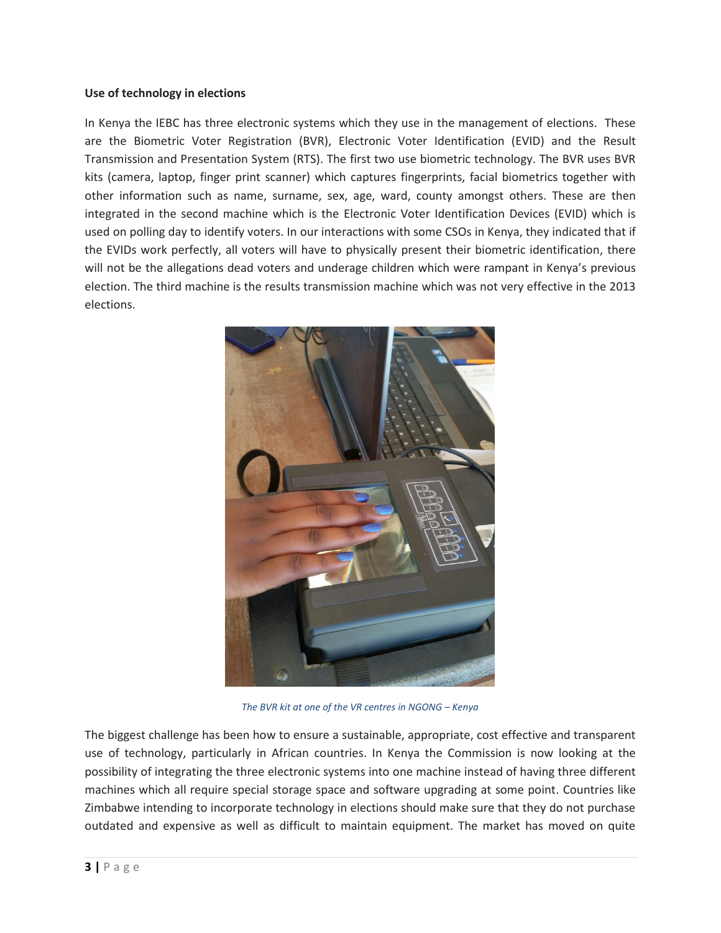#### **Use of technology in elections**

In Kenya the IEBC has three electronic systems which they use in the management of elections. These are the Biometric Voter Registration (BVR), Electronic Voter Identification (EVID) and the Result Transmission and Presentation System (RTS). The first two use biometric technology. The BVR uses BVR kits (camera, laptop, finger print scanner) which captures fingerprints, facial biometrics together with other information such as name, surname, sex, age, ward, county amongst others. These are then integrated in the second machine which is the Electronic Voter Identification Devices (EVID) which is used on polling day to identify voters. In our interactions with some CSOs in Kenya, they indicated that if the EVIDs work perfectly, all voters will have to physically present their biometric identification, there will not be the allegations dead voters and underage children which were rampant in Kenya's previous election. The third machine is the results transmission machine which was not very effective in the 2013 elections.



*The BVR kit at one of the VR centres in NGONG – Kenya* 

The biggest challenge has been how to ensure a sustainable, appropriate, cost effective and transparent use of technology, particularly in African countries. In Kenya the Commission is now looking at the possibility of integrating the three electronic systems into one machine instead of having three different machines which all require special storage space and software upgrading at some point. Countries like Zimbabwe intending to incorporate technology in elections should make sure that they do not purchase outdated and expensive as well as difficult to maintain equipment. The market has moved on quite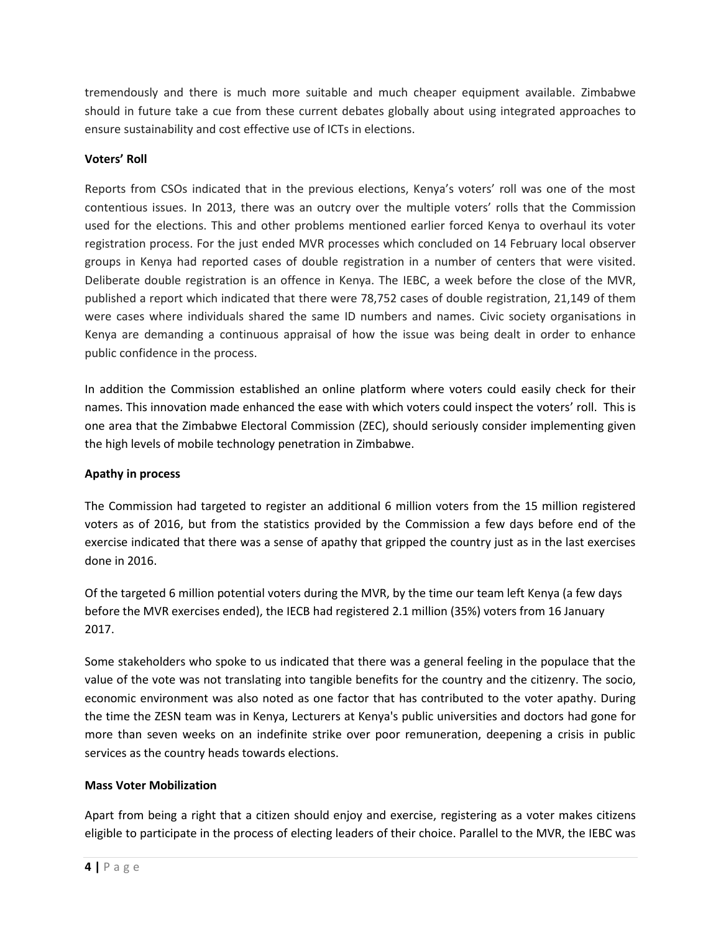tremendously and there is much more suitable and much cheaper equipment available. Zimbabwe should in future take a cue from these current debates globally about using integrated approaches to ensure sustainability and cost effective use of ICTs in elections.

## **Voters' Roll**

Reports from CSOs indicated that in the previous elections, Kenya's voters' roll was one of the most contentious issues. In 2013, there was an outcry over the multiple voters' rolls that the Commission used for the elections. This and other problems mentioned earlier forced Kenya to overhaul its voter registration process. For the just ended MVR processes which concluded on 14 February local observer groups in Kenya had reported cases of double registration in a number of centers that were visited. Deliberate double registration is an offence in Kenya. The IEBC, a week before the close of the MVR, published a report which indicated that there were 78,752 cases of double registration, 21,149 of them were cases where individuals shared the same ID numbers and names. Civic society organisations in Kenya are demanding a continuous appraisal of how the issue was being dealt in order to enhance public confidence in the process.

In addition the Commission established an online platform where voters could easily check for their names. This innovation made enhanced the ease with which voters could inspect the voters' roll. This is one area that the Zimbabwe Electoral Commission (ZEC), should seriously consider implementing given the high levels of mobile technology penetration in Zimbabwe.

### **Apathy in process**

The Commission had targeted to register an additional 6 million voters from the 15 million registered voters as of 2016, but from the statistics provided by the Commission a few days before end of the exercise indicated that there was a sense of apathy that gripped the country just as in the last exercises done in 2016.

Of the targeted 6 million potential voters during the MVR, by the time our team left Kenya (a few days before the MVR exercises ended), the IECB had registered 2.1 million (35%) voters from 16 January 2017.

Some stakeholders who spoke to us indicated that there was a general feeling in the populace that the value of the vote was not translating into tangible benefits for the country and the citizenry. The socio, economic environment was also noted as one factor that has contributed to the voter apathy. During the time the ZESN team was in Kenya, Lecturers at Kenya's public universities and doctors had gone for more than seven weeks on an indefinite strike over poor remuneration, deepening a crisis in public services as the country heads towards elections.

#### **Mass Voter Mobilization**

Apart from being a right that a citizen should enjoy and exercise, registering as a voter makes citizens eligible to participate in the process of electing leaders of their choice. Parallel to the MVR, the IEBC was